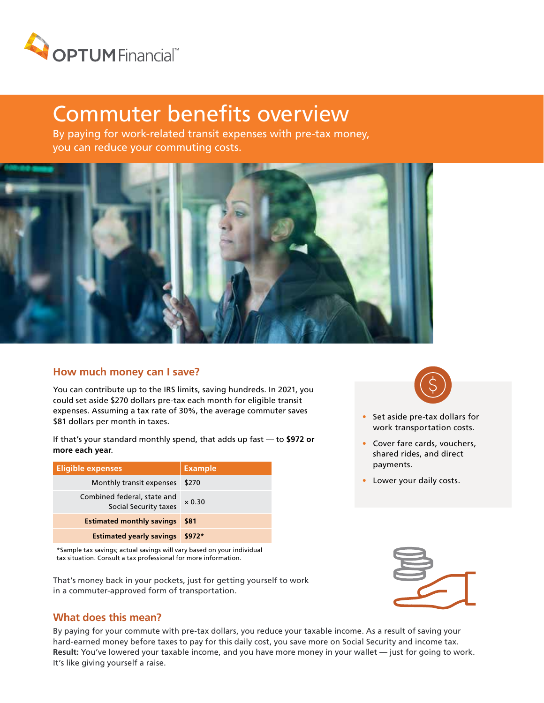

# Commuter benefits overview

By paying for work-related transit expenses with pre-tax money, you can reduce your commuting costs.



#### **How much money can I save?**

You can contribute up to the IRS limits, saving hundreds. In 2021, you could set aside \$270 dollars pre-tax each month for eligible transit expenses. Assuming a tax rate of 30%, the average commuter saves \$81 dollars per month in taxes.

If that's your standard monthly spend, that adds up fast — to **\$972 or more each year**.

| Eligible expenses                                    | <b>Example</b> |
|------------------------------------------------------|----------------|
| Monthly transit expenses                             | \$270          |
| Combined federal, state and<br>Social Security taxes | $\times$ 0.30  |
| <b>Estimated monthly savings</b>                     | \$81           |
| <b>Estimated yearly savings</b>                      | $$972*$        |

\*Sample tax savings; actual savings will vary based on your individual tax situation. Consult a tax professional for more information.

That's money back in your pockets, just for getting yourself to work in a commuter-approved form of transportation.

#### **What does this mean?**

By paying for your commute with pre-tax dollars, you reduce your taxable income. As a result of saving your hard-earned money before taxes to pay for this daily cost, you save more on Social Security and income tax. **Result:** You've lowered your taxable income, and you have more money in your wallet — just for going to work. It's like giving yourself a raise.



- Set aside pre-tax dollars for work transportation costs.
- Cover fare cards, vouchers, shared rides, and direct payments.
- Lower your daily costs.

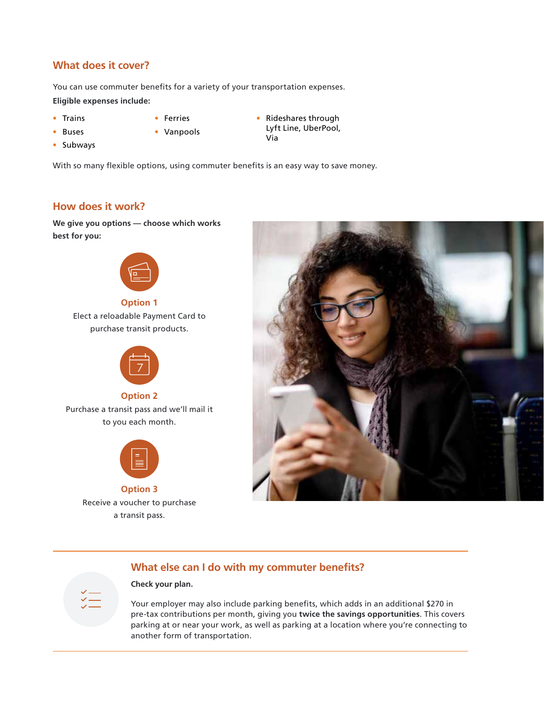#### **What does it cover?**

You can use commuter benefits for a variety of your transportation expenses. **Eligible expenses include:**

- Trains
- Ferries
- Buses
- 
- Vanpools
- Rideshares through Lyft Line, UberPool, Via

• Subways

With so many flexible options, using commuter benefits is an easy way to save money.

### **How does it work?**

**We give you options — choose which works best for you:**



**Option 1**

Elect a reloadable Payment Card to purchase transit products.



**Option 2**

Purchase a transit pass and we'll mail it to you each month.



**Option 3** Receive a voucher to purchase a transit pass.



## **What else can I do with my commuter benefits?**

#### **Check your plan.**

Your employer may also include parking benefits, which adds in an additional \$270 in pre-tax contributions per month, giving you **twice the savings opportunities**. This covers parking at or near your work, as well as parking at a location where you're connecting to another form of transportation.